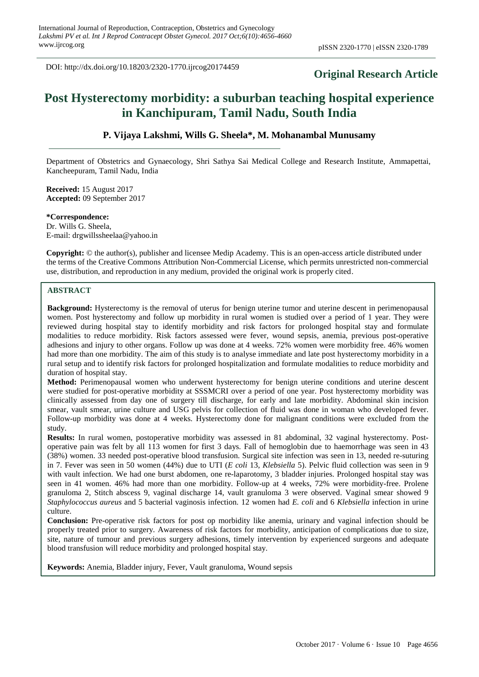DOI: http://dx.doi.org/10.18203/2320-1770.ijrcog20174459

# **Original Research Article**

# **Post Hysterectomy morbidity: a suburban teaching hospital experience in Kanchipuram, Tamil Nadu, South India**

# **P. Vijaya Lakshmi, Wills G. Sheela\*, M. Mohanambal Munusamy**

Department of Obstetrics and Gynaecology, Shri Sathya Sai Medical College and Research Institute, Ammapettai, Kancheepuram, Tamil Nadu, India

**Received:** 15 August 2017 **Accepted:** 09 September 2017

**\*Correspondence:** Dr. Wills G. Sheela, E-mail: drgwillssheelaa@yahoo.in

**Copyright:** © the author(s), publisher and licensee Medip Academy. This is an open-access article distributed under the terms of the Creative Commons Attribution Non-Commercial License, which permits unrestricted non-commercial use, distribution, and reproduction in any medium, provided the original work is properly cited.

#### **ABSTRACT**

**Background:** Hysterectomy is the removal of uterus for benign uterine tumor and uterine descent in perimenopausal women. Post hysterectomy and follow up morbidity in rural women is studied over a period of 1 year. They were reviewed during hospital stay to identify morbidity and risk factors for prolonged hospital stay and formulate modalities to reduce morbidity. Risk factors assessed were fever, wound sepsis, anemia, previous post-operative adhesions and injury to other organs. Follow up was done at 4 weeks. 72% women were morbidity free. 46% women had more than one morbidity. The aim of this study is to analyse immediate and late post hysterectomy morbidity in a rural setup and to identify risk factors for prolonged hospitalization and formulate modalities to reduce morbidity and duration of hospital stay.

**Method:** Perimenopausal women who underwent hysterectomy for benign uterine conditions and uterine descent were studied for post-operative morbidity at SSSMCRI over a period of one year. Post hysterectomy morbidity was clinically assessed from day one of surgery till discharge, for early and late morbidity. Abdominal skin incision smear, vault smear, urine culture and USG pelvis for collection of fluid was done in woman who developed fever. Follow-up morbidity was done at 4 weeks. Hysterectomy done for malignant conditions were excluded from the study.

**Results:** In rural women, postoperative morbidity was assessed in 81 abdominal, 32 vaginal hysterectomy. Postoperative pain was felt by all 113 women for first 3 days. Fall of hemoglobin due to haemorrhage was seen in 43 (38%) women. 33 needed post-operative blood transfusion. Surgical site infection was seen in 13, needed re-suturing in 7. Fever was seen in 50 women (44%) due to UTI (*E coli* 13, *Klebsiella* 5). Pelvic fluid collection was seen in 9 with vault infection. We had one burst abdomen, one re-laparotomy, 3 bladder injuries. Prolonged hospital stay was seen in 41 women. 46% had more than one morbidity. Follow-up at 4 weeks, 72% were morbidity-free. Prolene granuloma 2, Stitch abscess 9, vaginal discharge 14, vault granuloma 3 were observed. Vaginal smear showed 9 *Staphylococcus aureus* and 5 bacterial vaginosis infection. 12 women had *E. coli* and 6 *Klebsiella* infection in urine culture.

**Conclusion:** Pre-operative risk factors for post op morbidity like anemia, urinary and vaginal infection should be properly treated prior to surgery. Awareness of risk factors for morbidity, anticipation of complications due to size, site, nature of tumour and previous surgery adhesions, timely intervention by experienced surgeons and adequate blood transfusion will reduce morbidity and prolonged hospital stay.

**Keywords:** Anemia, Bladder injury, Fever, Vault granuloma, Wound sepsis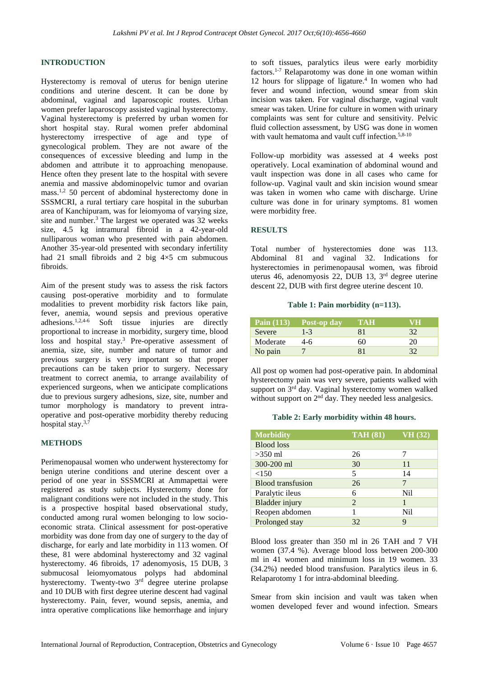# **INTRODUCTION**

Hysterectomy is removal of uterus for benign uterine conditions and uterine descent. It can be done by abdominal, vaginal and laparoscopic routes. Urban women prefer laparoscopy assisted vaginal hysterectomy. Vaginal hysterectomy is preferred by urban women for short hospital stay. Rural women prefer abdominal hysterectomy irrespective of age and type of gynecological problem. They are not aware of the consequences of excessive bleeding and lump in the abdomen and attribute it to approaching menopause. Hence often they present late to the hospital with severe anemia and massive abdominopelvic tumor and ovarian mass.1,2 50 percent of abdominal hysterectomy done in SSSMCRI, a rural tertiary care hospital in the suburban area of Kanchipuram, was for leiomyoma of varying size, site and number. <sup>3</sup> The largest we operated was 32 weeks size, 4.5 kg intramural fibroid in a 42-year-old nulliparous woman who presented with pain abdomen. Another 35-year-old presented with secondary infertility had 21 small fibroids and 2 big  $4\times5$  cm submucous fibroids.

Aim of the present study was to assess the risk factors causing post-operative morbidity and to formulate modalities to prevent morbidity risk factors like pain, fever, anemia, wound sepsis and previous operative adhesions.<sup>1,2,4-6</sup> Soft tissue injuries are directly proportional to increase in morbidity, surgery time, blood loss and hospital stay.<sup>3</sup> Pre-operative assessment of anemia, size, site, number and nature of tumor and previous surgery is very important so that proper precautions can be taken prior to surgery. Necessary treatment to correct anemia, to arrange availability of experienced surgeons, when we anticipate complications due to previous surgery adhesions, size, site, number and tumor morphology is mandatory to prevent intraoperative and post-operative morbidity thereby reducing hospital stay.<sup>3,7</sup>

### **METHODS**

Perimenopausal women who underwent hysterectomy for benign uterine conditions and uterine descent over a period of one year in SSSMCRI at Ammapettai were registered as study subjects. Hysterectomy done for malignant conditions were not included in the study. This is a prospective hospital based observational study, conducted among rural women belonging to low socioeconomic strata. Clinical assessment for post-operative morbidity was done from day one of surgery to the day of discharge, for early and late morbidity in 113 women. Of these, 81 were abdominal hysterectomy and 32 vaginal hysterectomy. 46 fibroids, 17 adenomyosis, 15 DUB, 3 submucosal leiomyomatous polyps had abdominal hysterectomy. Twenty-two 3<sup>rd</sup> degree uterine prolapse and 10 DUB with first degree uterine descent had vaginal hysterectomy. Pain, fever, wound sepsis, anemia, and intra operative complications like hemorrhage and injury to soft tissues, paralytics ileus were early morbidity factors.1-7 Relaparotomy was done in one woman within 12 hours for slippage of ligature. 4 In women who had fever and wound infection, wound smear from skin incision was taken. For vaginal discharge, vaginal vault smear was taken. Urine for culture in women with urinary complaints was sent for culture and sensitivity. Pelvic fluid collection assessment, by USG was done in women with vault hematoma and vault cuff infection.<sup>5,8-10</sup>

Follow-up morbidity was assessed at 4 weeks post operatively. Local examination of abdominal wound and vault inspection was done in all cases who came for follow-up. Vaginal vault and skin incision wound smear was taken in women who came with discharge. Urine culture was done in for urinary symptoms. 81 women were morbidity free.

#### **RESULTS**

Total number of hysterectomies done was 113. Abdominal 81 and vaginal 32. Indications for hysterectomies in perimenopausal women, was fibroid uterus 46, adenomyosis 22, DUB 13, 3 rd degree uterine descent 22, DUB with first degree uterine descent 10.

#### **Table 1: Pain morbidity (n=113).**

|          | Pain $(113)$ Post-op day | TAH | VH  |
|----------|--------------------------|-----|-----|
| Severe   | $1 - 3$                  | 81  | 32  |
| Moderate | 4-6                      | 60  | 20. |
| No pain  |                          |     |     |

All post op women had post-operative pain. In abdominal hysterectomy pain was very severe, patients walked with support on 3<sup>rd</sup> day. Vaginal hysterectomy women walked without support on 2<sup>nd</sup> day. They needed less analgesics.

#### **Table 2: Early morbidity within 48 hours.**

| <b>Morbidity</b>         | <b>TAH (81)</b> | VH(32) |
|--------------------------|-----------------|--------|
| <b>Blood</b> loss        |                 |        |
| $>350$ ml                | 26              |        |
| 300-200 ml               | 30              | 11     |
| <150                     | 5               | 14     |
| <b>Blood</b> transfusion | 26              |        |
| Paralytic ileus          | 6               | Nil    |
| <b>Bladder</b> injury    | 2               |        |
| Reopen abdomen           |                 | Nil    |
| Prolonged stay           | 32              | Q      |

Blood loss greater than 350 ml in 26 TAH and 7 VH women (37.4 %). Average blood loss between 200-300 ml in 41 women and minimum loss in 19 women. 33 (34.2%) needed blood transfusion. Paralytics ileus in 6. Relaparotomy 1 for intra-abdominal bleeding.

Smear from skin incision and vault was taken when women developed fever and wound infection. Smears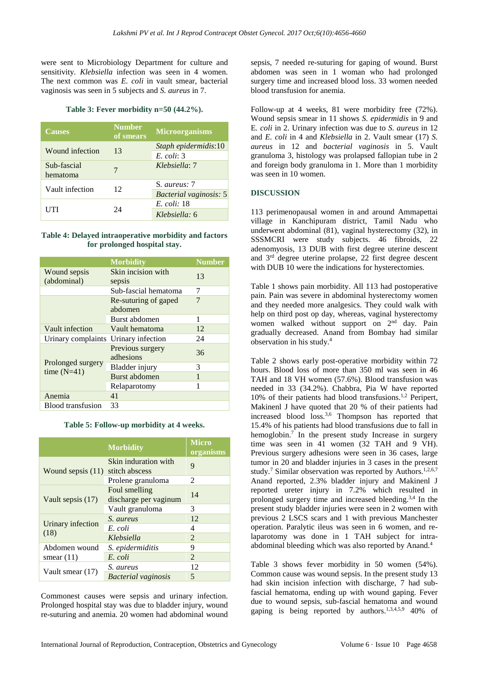were sent to Microbiology Department for culture and sensitivity. *Klebsiella* infection was seen in 4 women. The next common was *E. coli* in vault smear, bacterial vaginosis was seen in 5 subjects and *S. aureus* in 7.

#### **Table 3: Fever morbidity n=50 (44.2%).**

| <b>Causes</b>   | <b>Number</b><br>of smears | <b>Microorganisms</b>         |
|-----------------|----------------------------|-------------------------------|
| Wound infection | 13                         | Staph epidermidis:10          |
|                 |                            | $E.$ coli: 3                  |
| Sub-fascial     | 7                          | Klebsiella: 7                 |
| hematoma        |                            |                               |
| Vault infection | 12                         | S. aureus: 7                  |
|                 |                            | <b>Bacterial vaginosis: 5</b> |
|                 |                            | E. coli: 18                   |
| UTI             | 24                         | Klebsiella: 6                 |

#### **Table 4: Delayed intraoperative morbidity and factors for prolonged hospital stay.**

|                             | <b>Morbidity</b>                | <b>Number</b> |
|-----------------------------|---------------------------------|---------------|
| Wound sepsis<br>(abdominal) | Skin incision with<br>sepsis    | 13            |
|                             | Sub-fascial hematoma            | 7             |
|                             | Re-suturing of gaped<br>abdomen | 7             |
|                             | Burst abdomen                   | 1             |
| Vault infection             | Vault hematoma                  | 12            |
| Urinary complaints          | Urinary infection               | 24            |
|                             | Previous surgery<br>adhesions   | 36            |
| Prolonged surgery           | Bladder injury                  | 3             |
| time $(N=41)$               | Burst abdomen                   | 1             |
|                             | Relaparotomy                    | 1             |
| Anemia                      | 41                              |               |
| <b>Blood</b> transfusion    | 33                              |               |

**Table 5: Follow-up morbidity at 4 weeks.**

|                     | <b>Morbidity</b>                       | <b>Micro</b><br>organisms |
|---------------------|----------------------------------------|---------------------------|
| Wound sepsis $(11)$ | Skin induration with<br>stitch abscess | 9                         |
|                     | Prolene granuloma                      | $\mathcal{L}$             |
| Vault sepsis (17)   | Foul smelling<br>discharge per vaginum | 14                        |
|                     | Vault granuloma                        | 3                         |
|                     | S. aureus                              | 12                        |
| Urinary infection   | E. coli                                | 4                         |
| (18)                | Klebsiella                             | $\mathfrak{D}$            |
| Abdomen wound       | S. epidermiditis                       | 9                         |
| smear $(11)$        | E. coli                                | $\mathfrak{D}$            |
|                     | S. aureus                              | 12                        |
| Vault smear (17)    | <b>Bacterial</b> vaginosis             | 5                         |

Commonest causes were sepsis and urinary infection. Prolonged hospital stay was due to bladder injury, wound re-suturing and anemia. 20 women had abdominal wound sepsis, 7 needed re-suturing for gaping of wound. Burst abdomen was seen in 1 woman who had prolonged surgery time and increased blood loss. 33 women needed blood transfusion for anemia.

Follow-up at 4 weeks, 81 were morbidity free (72%). Wound sepsis smear in 11 shows *S. epidermidis* in 9 and E*. coli* in 2. Urinary infection was due to *S. aureus* in 12 and *E. coli* in 4 and *Klebsiella* in 2. Vault smear (17) *S. aureus* in 12 and *bacterial vaginosis* in 5. Vault granuloma 3, histology was prolapsed fallopian tube in 2 and foreign body granuloma in 1. More than 1 morbidity was seen in 10 women.

# **DISCUSSION**

113 perimenopausal women in and around Ammapettai village in Kanchipuram district, Tamil Nadu who underwent abdominal (81), vaginal hysterectomy (32), in SSSMCRI were study subjects. 46 fibroids, 22 adenomyosis, 13 DUB with first degree uterine descent and 3 rd degree uterine prolapse, 22 first degree descent with DUB 10 were the indications for hysterectomies.

Table 1 shows pain morbidity. All 113 had postoperative pain. Pain was severe in abdominal hysterectomy women and they needed more analgesics. They could walk with help on third post op day, whereas, vaginal hysterectomy women walked without support on  $2<sup>nd</sup>$  day. Pain gradually decreased. Anand from Bombay had similar observation in his study. 4

Table 2 shows early post-operative morbidity within 72 hours. Blood loss of more than 350 ml was seen in 46 TAH and 18 VH women (57.6%). Blood transfusion was needed in 33 (34.2%). Chabbra, Pia W have reported 10% of their patients had blood transfusions.1,2 Peripert, Makinenl J have quoted that 20 % of their patients had increased blood loss.3,6 Thompson has reported that 15.4% of his patients had blood transfusions due to fall in hemoglobin.<sup>7</sup> In the present study Increase in surgery time was seen in 41 women (32 TAH and 9 VH). Previous surgery adhesions were seen in 36 cases, large tumor in 20 and bladder injuries in 3 cases in the present study.<sup>7</sup> Similar observation was reported by Authors.<sup>1,2,6,7</sup> Anand reported, 2.3% bladder injury and Makinenl J reported ureter injury in 7.2% which resulted in prolonged surgery time and increased bleeding.3,4 In the present study bladder injuries were seen in 2 women with previous 2 LSCS scars and 1 with previous Manchester operation. Paralytic ileus was seen in 6 women, and relaparotomy was done in 1 TAH subject for intraabdominal bleeding which was also reported by Anand. 4

Table 3 shows fever morbidity in 50 women (54%). Common cause was wound sepsis. In the present study 13 had skin incision infection with discharge, 7 had subfascial hematoma, ending up with wound gaping. Fever due to wound sepsis, sub-fascial hematoma and wound gaping is being reported by authors.<sup>1,3,4,5,9</sup> 40% of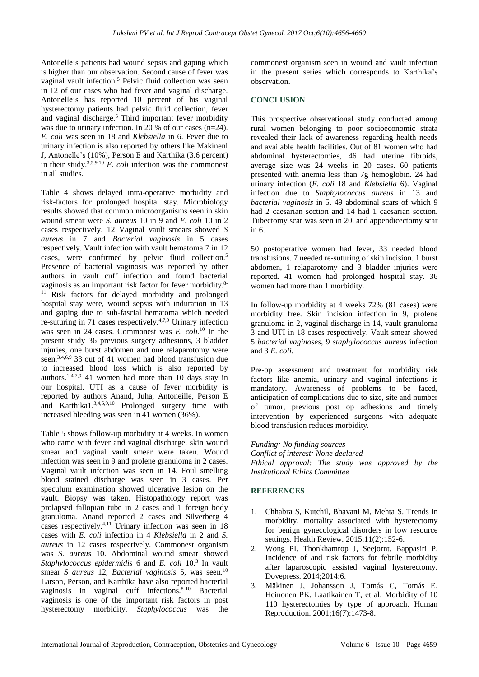Antonelle's patients had wound sepsis and gaping which is higher than our observation. Second cause of fever was vaginal vault infection.<sup>5</sup> Pelvic fluid collection was seen in 12 of our cases who had fever and vaginal discharge. Antonelle's has reported 10 percent of his vaginal hysterectomy patients had pelvic fluid collection, fever and vaginal discharge.<sup>5</sup> Third important fever morbidity was due to urinary infection. In 20 % of our cases (n=24). *E. coli* was seen in 18 and *Klebsiella* in 6. Fever due to urinary infection is also reported by others like Makinenl J, Antonelle's (10%), Person E and Karthika (3.6 percent) in their study.3,5,9,10 *E. coli* infection was the commonest in all studies.

Table 4 shows delayed intra-operative morbidity and risk-factors for prolonged hospital stay. Microbiology results showed that common microorganisms seen in skin wound smear were *S. aureus* 10 in 9 and *E. coli* 10 in 2 cases respectively. 12 Vaginal vault smears showed *S aureus* in 7 and *Bacterial vaginosis* in 5 cases respectively. Vault infection with vault hematoma 7 in 12 cases, were confirmed by pelvic fluid collection.<sup>5</sup> Presence of bacterial vaginosis was reported by other authors in vault cuff infection and found bacterial vaginosis as an important risk factor for fever morbidity.8- <sup>11</sup> Risk factors for delayed morbidity and prolonged hospital stay were, wound sepsis with induration in 13 and gaping due to sub-fascial hematoma which needed re-suturing in 71 cases respectively.4,7,9 Urinary infection was seen in 24 cases. Commonest was *E. coli*. <sup>10</sup> In the present study 36 previous surgery adhesions, 3 bladder injuries, one burst abdomen and one relaparotomy were seen.3,4,6,9 33 out of 41 women had blood transfusion due to increased blood loss which is also reported by authors. 1-4,7,9 41 women had more than 10 days stay in our hospital. UTI as a cause of fever morbidity is reported by authors Anand, Juha, Antoneille, Person E and Karthika1. 3,4,5,9,10 Prolonged surgery time with increased bleeding was seen in 41 women (36%).

Table 5 shows follow-up morbidity at 4 weeks. In women who came with fever and vaginal discharge, skin wound smear and vaginal vault smear were taken. Wound infection was seen in 9 and prolene granuloma in 2 cases. Vaginal vault infection was seen in 14. Foul smelling blood stained discharge was seen in 3 cases. Per speculum examination showed ulcerative lesion on the vault. Biopsy was taken. Histopathology report was prolapsed fallopian tube in 2 cases and 1 foreign body granuloma. Anand reported 2 cases and Silverberg 4 cases respectively.<sup>4,11</sup> Urinary infection was seen in 18 cases with *E. coli* infection in 4 *Klebsiella* in 2 and *S. aureus* in 12 cases respectively. Commonest organism was *S. aureus* 10. Abdominal wound smear showed Staphylococcus epidermidis 6 and *E. coli* 10.<sup>3</sup> In vault smear *S aureus* 12, *Bacterial vaginosis* 5, was seen.<sup>10</sup> Larson, Person, and Karthika have also reported bacterial vaginosis in vaginal cuff infections.8-10 Bacterial vaginosis is one of the important risk factors in post hysterectomy morbidity. *Staphylococcus* was the commonest organism seen in wound and vault infection in the present series which corresponds to Karthika's observation.

# **CONCLUSION**

This prospective observational study conducted among rural women belonging to poor socioeconomic strata revealed their lack of awareness regarding health needs and available health facilities. Out of 81 women who had abdominal hysterectomies, 46 had uterine fibroids, average size was 24 weeks in 20 cases. 60 patients presented with anemia less than 7g hemoglobin. 24 had urinary infection (*E. coli* 18 and *Klebsiella* 6). Vaginal infection due to *Staphylococcus aureus* in 13 and *bacterial vaginosis* in 5. 49 abdominal scars of which 9 had 2 caesarian section and 14 had 1 caesarian section. Tubectomy scar was seen in 20, and appendicectomy scar in 6.

50 postoperative women had fever, 33 needed blood transfusions. 7 needed re-suturing of skin incision. 1 burst abdomen, 1 relaparotomy and 3 bladder injuries were reported. 41 women had prolonged hospital stay. 36 women had more than 1 morbidity.

In follow-up morbidity at 4 weeks 72% (81 cases) were morbidity free. Skin incision infection in 9, prolene granuloma in 2, vaginal discharge in 14, vault granuloma 3 and UTI in 18 cases respectively. Vault smear showed 5 *bacterial vaginoses*, 9 *staphylococcus aureus* infection and 3 *E. coli*.

Pre-op assessment and treatment for morbidity risk factors like anemia, urinary and vaginal infections is mandatory. Awareness of problems to be faced, anticipation of complications due to size, site and number of tumor, previous post op adhesions and timely intervention by experienced surgeons with adequate blood transfusion reduces morbidity.

#### *Funding: No funding sources*

*Conflict of interest: None declared Ethical approval: The study was approved by the Institutional Ethics Committee*

#### **REFERENCES**

- 1. Chhabra S, Kutchil, Bhavani M, Mehta S. Trends in morbidity, mortality associated with hysterectomy for benign gynecological disorders in low resource settings. Health Review. 2015;11(2):152-6.
- 2. Wong PI, Thonkhamrop J, Seejornt, Bappasiri P. Incidence of and risk factors for febrile morbidity after laparoscopic assisted vaginal hysterectomy. Dovepress. 2014;2014:6.
- 3. Mäkinen J, Johansson J, Tomás C, Tomás E, Heinonen PK, Laatikainen T, et al. Morbidity of 10 110 hysterectomies by type of approach. Human Reproduction. 2001;16(7):1473-8.